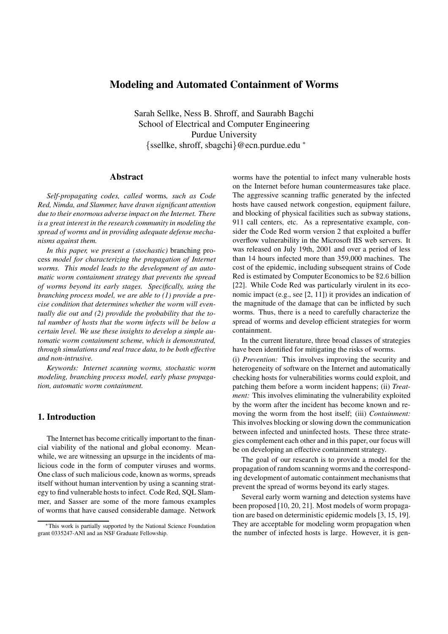# **Modeling and Automated Containment of Worms**

Sarah Sellke, Ness B. Shroff, and Saurabh Bagchi School of Electrical and Computer Engineering Purdue University {ssellke, shroff, sbagchi}@ecn.purdue.edu <sup>∗</sup>

### **Abstract**

*Self-propagating codes, called* worms*, such as Code Red, Nimda, and Slammer, have drawn significant attention due to their enormous adverse impact on the Internet. There is a great interest in the research community in modeling the spread of worms and in providing adequate defense mechanisms against them.*

*In this paper, we present a (stochastic)* branching process *model for characterizing the propagation of Internet worms. This model leads to the development of an automatic worm containment strategy that prevents the spread of worms beyond its early stages. Specifically, using the branching process model, we are able to (1) provide a precise condition that determines whether the worm will eventually die out and (2) provdide the probability that the total number of hosts that the worm infects will be below a certain level. We use these insights to develop a simple automatic worm containment scheme, which is demonstrated, through simulations and real trace data, to be both effective and non-intrusive.*

*Keywords: Internet scanning worms, stochastic worm modeling, branching process model, early phase propagation, automatic worm containment.*

## **1. Introduction**

The Internet has become critically important to the financial viability of the national and global economy. Meanwhile, we are witnessing an upsurge in the incidents of malicious code in the form of computer viruses and worms. One class of such malicious code, known as worms, spreads itself without human intervention by using a scanning strategy to find vulnerable hosts to infect. Code Red, SQL Slammer, and Sasser are some of the more famous examples of worms that have caused considerable damage. Network worms have the potential to infect many vulnerable hosts on the Internet before human countermeasures take place. The aggressive scanning traffic generated by the infected hosts have caused network congestion, equipment failure, and blocking of physical facilities such as subway stations, 911 call centers, etc. As a representative example, consider the Code Red worm version 2 that exploited a buffer overflow vulnerability in the Microsoft IIS web servers. It was released on July 19th, 2001 and over a period of less than 14 hours infected more than 359,000 machines. The cost of the epidemic, including subsequent strains of Code Red is estimated by Computer Economics to be \$2.6 billion [22]. While Code Red was particularly virulent in its economic impact (e.g., see [2, 11]) it provides an indication of the magnitude of the damage that can be inflicted by such worms. Thus, there is a need to carefully characterize the spread of worms and develop efficient strategies for worm containment.

In the current literature, three broad classes of strategies have been identified for mitigating the risks of worms.

(i) *Prevention:* This involves improving the security and heterogeneity of software on the Internet and automatically checking hosts for vulnerabilities worms could exploit, and patching them before a worm incident happens; (ii) *Treatment:* This involves eliminating the vulnerability exploited by the worm after the incident has become known and removing the worm from the host itself; (iii) *Containment:* This involves blocking or slowing down the communication between infected and uninfected hosts. These three strategies complement each other and in this paper, our focus will be on developing an effective containment strategy.

The goal of our research is to provide a model for the propagation of random scanning worms and the corresponding development of automatic containment mechanisms that prevent the spread of worms beyond its early stages.

Several early worm warning and detection systems have been proposed [10, 20, 21]. Most models of worm propagation are based on deterministic epidemic models [3, 15, 19]. They are acceptable for modeling worm propagation when the number of infected hosts is large. However, it is gen-

<sup>∗</sup>This work is partially supported by the National Science Foundation grant 0335247-ANI and an NSF Graduate Fellowship.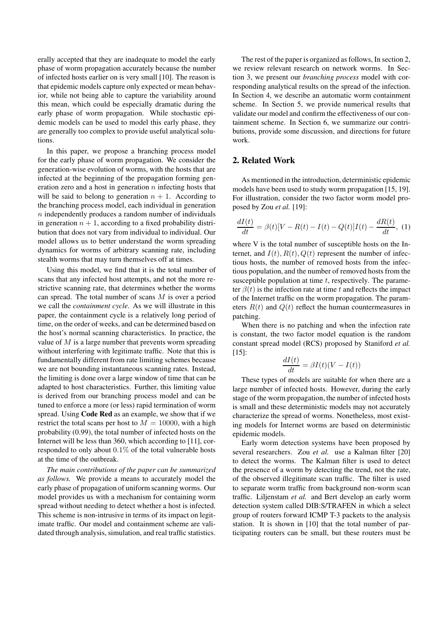erally accepted that they are inadequate to model the early phase of worm propagation accurately because the number of infected hosts earlier on is very small [10]. The reason is that epidemic models capture only expected or mean behavior, while not being able to capture the variability around this mean, which could be especially dramatic during the early phase of worm propagation. While stochastic epidemic models can be used to model this early phase, they are generally too complex to provide useful analytical solutions.

In this paper, we propose a branching process model for the early phase of worm propagation. We consider the generation-wise evolution of worms, with the hosts that are infected at the beginning of the propagation forming generation zero and a host in generation  $n$  infecting hosts that will be said to belong to generation  $n + 1$ . According to the branching process model, each individual in generation  $n$  independently produces a random number of individuals in generation  $n + 1$ , according to a fixed probability distribution that does not vary from individual to individual. Our model allows us to better understand the worm spreading dynamics for worms of arbitrary scanning rate, including stealth worms that may turn themselves off at times.

Using this model, we find that it is the total number of scans that any infected host attempts, and not the more restrictive scanning rate, that determines whether the worms can spread. The total number of scans  $M$  is over a period we call the *containment cycle*. As we will illustrate in this paper, the containment cycle is a relatively long period of time, on the order of weeks, and can be determined based on the host's normal scanning characteristics. In practice, the value of  $M$  is a large number that prevents worm spreading without interfering with legitimate traffic. Note that this is fundamentally different from rate limiting schemes because we are not bounding instantaneous scanning rates. Instead, the limiting is done over a large window of time that can be adapted to host characteristics. Further, this limiting value is derived from our branching process model and can be tuned to enforce a more (or less) rapid termination of worm spread. Using **Code Red** as an example, we show that if we restrict the total scans per host to  $M = 10000$ , with a high probability (0.99), the total number of infected hosts on the Internet will be less than 360, which according to [11], corresponded to only about 0.1% of the total vulnerable hosts at the time of the outbreak.

*The main contributions of the paper can be summarized as follows.* We provide a means to accurately model the early phase of propagation of uniform scanning worms. Our model provides us with a mechanism for containing worm spread without needing to detect whether a host is infected. This scheme is non-intrusive in terms of its impact on legitimate traffic. Our model and containment scheme are validated through analysis, simulation, and real traffic statistics.

The rest of the paper is organized as follows, In section 2, we review relevant research on network worms. In Section 3, we present our *branching process* model with corresponding analytical results on the spread of the infection. In Section 4, we describe an automatic worm containment scheme. In Section 5, we provide numerical results that validate our model and confirm the effectiveness of our containment scheme. In Section 6, we summarize our contributions, provide some discussion, and directions for future work.

## **2. Related Work**

As mentioned in the introduction, deterministic epidemic models have been used to study worm propagation [15, 19]. For illustration, consider the two factor worm model proposed by Zou *et al.* [19]:

$$
\frac{dI(t)}{dt} = \beta(t)[V - R(t) - I(t) - Q(t)]I(t) - \frac{dR(t)}{dt}, (1)
$$

where V is the total number of susceptible hosts on the Internet, and  $I(t)$ ,  $R(t)$ ,  $Q(t)$  represent the number of infectious hosts, the number of removed hosts from the infectious population, and the number of removed hosts from the susceptible population at time  $t$ , respectively. The parameter  $\beta(t)$  is the infection rate at time t and reflects the impact of the Internet traffic on the worm propagation. The parameters  $R(t)$  and  $Q(t)$  reflect the human countermeasures in patching.

When there is no patching and when the infection rate is constant, the two factor model equation is the random constant spread model (RCS) proposed by Staniford *et al.* [15]:

$$
\frac{dI(t)}{dt} = \beta I(t) (V - I(t))
$$

These types of models are suitable for when there are a large number of infected hosts. However, during the early stage of the worm propagation, the number of infected hosts is small and these deterministic models may not accurately characterize the spread of worms. Nonetheless, most existing models for Internet worms are based on deterministic epidemic models.

Early worm detection systems have been proposed by several researchers. Zou *et al.* use a Kalman filter [20] to detect the worms. The Kalman filter is used to detect the presence of a worm by detecting the trend, not the rate, of the observed illegitimate scan traffic. The filter is used to separate worm traffic from background non-worm scan traffic. Liljenstam *et al.* and Bert develop an early worm detection system called DIB:S/TRAFEN in which a select group of routers forward ICMP T-3 packets to the analysis station. It is shown in [10] that the total number of participating routers can be small, but these routers must be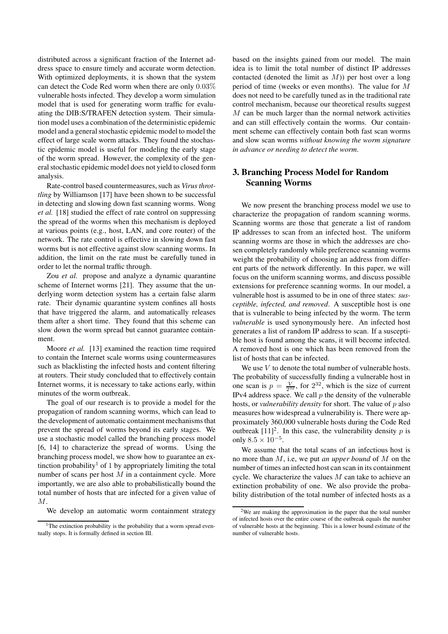distributed across a significant fraction of the Internet address space to ensure timely and accurate worm detection. With optimized deployments, it is shown that the system can detect the Code Red worm when there are only 0.03% vulnerable hosts infected. They develop a worm simulation model that is used for generating worm traffic for evaluating the DIB:S/TRAFEN detection system. Their simulation model uses a combination of the deterministic epidemic model and a general stochastic epidemic model to model the effect of large scale worm attacks. They found the stochastic epidemic model is useful for modeling the early stage of the worm spread. However, the complexity of the general stochastic epidemic model does not yield to closed form analysis.

Rate-control based countermeasures, such as *Virus throttling* by Williamson [17] have been shown to be successful in detecting and slowing down fast scanning worms. Wong *et al.* [18] studied the effect of rate control on suppressing the spread of the worms when this mechanism is deployed at various points (e.g., host, LAN, and core router) of the network. The rate control is effective in slowing down fast worms but is not effective against slow scanning worms. In addition, the limit on the rate must be carefully tuned in order to let the normal traffic through.

Zou *et al.* propose and analyze a dynamic quarantine scheme of Internet worms [21]. They assume that the underlying worm detection system has a certain false alarm rate. Their dynamic quarantine system confines all hosts that have triggered the alarm, and automatically releases them after a short time. They found that this scheme can slow down the worm spread but cannot guarantee containment.

Moore *et al.* [13] examined the reaction time required to contain the Internet scale worms using countermeasures such as blacklisting the infected hosts and content filtering at routers. Their study concluded that to effectively contain Internet worms, it is necessary to take actions early, within minutes of the worm outbreak.

The goal of our research is to provide a model for the propagation of random scanning worms, which can lead to the development of automatic containment mechanisms that prevent the spread of worms beyond its early stages. We use a stochastic model called the branching process model [6, 14] to characterize the spread of worms. Using the branching process model, we show how to guarantee an extinction probability<sup>1</sup> of 1 by appropriately limiting the total number of scans per host  $M$  in a containment cycle. More importantly, we are also able to probabilistically bound the total number of hosts that are infected for a given value of M.

We develop an automatic worm containment strategy

based on the insights gained from our model. The main idea is to limit the total number of distinct IP addresses contacted (denoted the limit as  $M$ )) per host over a long period of time (weeks or even months). The value for M does not need to be carefully tuned as in the traditional rate control mechanism, because our theoretical results suggest M can be much larger than the normal network activities and can still effectively contain the worms. Our containment scheme can effectively contain both fast scan worms and slow scan worms *without knowing the worm signature in advance or needing to detect the worm*.

# **3. Branching Process Model for Random Scanning Worms**

We now present the branching process model we use to characterize the propagation of random scanning worms. Scanning worms are those that generate a list of random IP addresses to scan from an infected host. The uniform scanning worms are those in which the addresses are chosen completely randomly while preference scanning worms weight the probability of choosing an address from different parts of the network differently. In this paper, we will focus on the uniform scanning worms, and discuss possible extensions for preference scanning worms. In our model, a vulnerable host is assumed to be in one of three states: *susceptible, infected, and removed*. A susceptible host is one that is vulnerable to being infected by the worm. The term *vulnerable* is used synonymously here. An infected host generates a list of random IP address to scan. If a susceptible host is found among the scans, it will become infected. A removed host is one which has been removed from the list of hosts that can be infected.

We use  $V$  to denote the total number of vulnerable hosts. The probability of successfully finding a vulnerable host in one scan is  $p = \frac{V}{2^{32}}$ , for  $2^{32}$ , which is the size of current IPv4 address space. We call  $p$  the density of the vulnerable hosts, or *vulnerability density* for short. The value of p also measures how widespread a vulnerability is. There were approximately 360,000 vulnerable hosts during the Code Red outbreak  $[11]^2$ . In this case, the vulnerability density p is only  $8.5 \times 10^{-5}$ .

We assume that the total scans of an infectious host is no more than M, i.e, we put *an upper bound* of M on the number of times an infected host can scan in its containment cycle. We characterize the values M can take to achieve an extinction probability of one. We also provide the probability distribution of the total number of infected hosts as a

<sup>&</sup>lt;sup>1</sup>The extinction probability is the probability that a worm spread eventually stops. It is formally defined in section III.

<sup>&</sup>lt;sup>2</sup>We are making the approximation in the paper that the total number of infected hosts over the entire course of the outbreak equals the number of vulnerable hosts at the beginning. This is a lower bound estimate of the number of vulnerable hosts.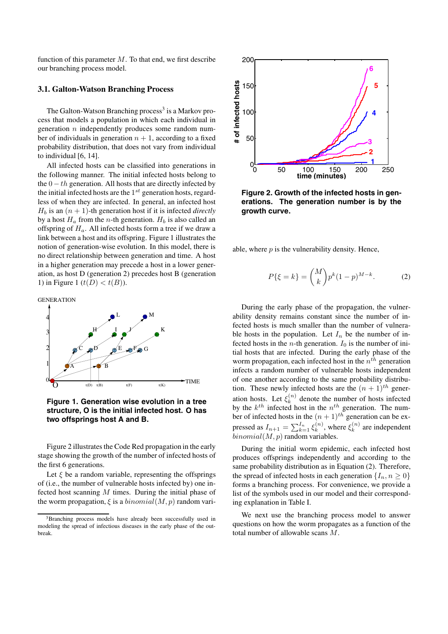function of this parameter  $M$ . To that end, we first describe our branching process model.

#### **3.1. Galton-Watson Branching Process**

The Galton-Watson Branching process<sup>3</sup> is a Markov process that models a population in which each individual in generation  $n$  independently produces some random number of individuals in generation  $n + 1$ , according to a fixed probability distribution, that does not vary from individual to individual [6, 14].

All infected hosts can be classified into generations in the following manner. The initial infected hosts belong to the  $0 - th$  generation. All hosts that are directly infected by the initial infected hosts are the  $1^{st}$  generation hosts, regardless of when they are infected. In general, an infected host  $H_b$  is an  $(n + 1)$ -th generation host if it is infected *directly* by a host  $H_a$  from the *n*-th generation.  $H_b$  is also called an offspring of  $H_a$ . All infected hosts form a tree if we draw a link between a host and its offspring. Figure 1 illustrates the notion of generation-wise evolution. In this model, there is no direct relationship between generation and time. A host in a higher generation may precede a host in a lower generation, as host D (generation 2) precedes host B (generation 1) in Figure 1  $(t(D) < t(B))$ .

**GENERATION** 



**Figure 1. Generation wise evolution in a tree structure, O is the initial infected host. O has two offsprings host A and B.**

Figure 2 illustrates the Code Red propagation in the early stage showing the growth of the number of infected hosts of the first 6 generations.

Let  $\xi$  be a random variable, representing the offsprings of (i.e., the number of vulnerable hosts infected by) one infected host scanning  $M$  times. During the initial phase of the worm propagation,  $\xi$  is a *binomial*( $M$ ,  $p$ ) random vari-



**Figure 2. Growth of the infected hosts in generations. The generation number is by the growth curve.**

able, where  $p$  is the vulnerability density. Hence,

$$
P\{\xi = k\} = \binom{M}{k} p^k (1-p)^{M-k}.
$$
 (2)

During the early phase of the propagation, the vulnerability density remains constant since the number of infected hosts is much smaller than the number of vulnerable hosts in the population. Let  $I_n$  be the number of infected hosts in the *n*-th generation.  $I_0$  is the number of initial hosts that are infected. During the early phase of the worm propagation, each infected host in the  $n<sup>th</sup>$  generation infects a random number of vulnerable hosts independent of one another according to the same probability distribution. These newly infected hosts are the  $(n + 1)^{th}$  generation hosts. Let  $\xi_k^{(n)}$  denote the number of hosts infected by the  $k^{th}$  infected host in the  $n^{th}$  generation. The number of infected hosts in the  $(n + 1)$ <sup>th</sup> generation can be expressed as  $I_{n+1} = \sum_{k=1}^{I_n} \xi_k^{(n)}$ , where  $\xi_k^{(n)}$  are independent  $binomial(M, p)$  random variables.

During the initial worm epidemic, each infected host produces offsprings independently and according to the same probability distribution as in Equation (2). Therefore, the spread of infected hosts in each generation  $\{I_n, n \geq 0\}$ forms a branching process. For convenience, we provide a list of the symbols used in our model and their corresponding explanation in Table I.

We next use the branching process model to answer questions on how the worm propagates as a function of the total number of allowable scans M.

<sup>&</sup>lt;sup>3</sup>Branching process models have already been successfully used in modeling the spread of infectious diseases in the early phase of the outbreak.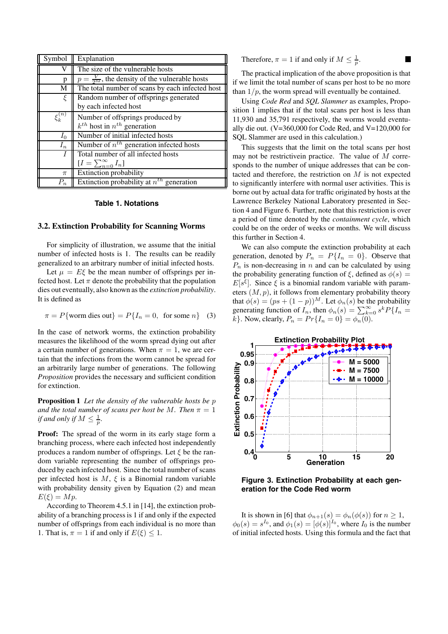| Symbol        | Explanation                                                  |
|---------------|--------------------------------------------------------------|
|               | The size of the vulnerable hosts                             |
| p             | $p = \frac{V}{2^{32}}$ , the density of the vulnerable hosts |
| М             | The total number of scans by each infected host              |
| ξ             | Random number of offsprings generated                        |
|               | by each infected host                                        |
| $\xi_k^{(n)}$ | Number of offsprings produced by                             |
|               | $k^{th}$ host in $n^{th}$ generation                         |
| $I_0$         | Number of initial infected hosts                             |
| $I_n$         | Number of $n^{th}$ generation infected hosts                 |
|               | Total number of all infected hosts                           |
|               | $[I = \sum_{n=0}^{\infty} I_n]$                              |
| $\pi$         | <b>Extinction probability</b>                                |
| $P_n$         | Extinction probability at $n^{th}$ generation                |

#### **Table 1. Notations**

#### **3.2. Extinction Probability for Scanning Worms**

For simplicity of illustration, we assume that the initial number of infected hosts is 1. The results can be readily generalized to an arbitrary number of initial infected hosts.

Let  $\mu = E \xi$  be the mean number of offsprings per infected host. Let  $\pi$  denote the probability that the population dies out eventually, also known as the *extinction probability*. It is defined as

$$
\pi = P\{\text{worm dies out}\} = P\{I_n = 0, \text{ for some } n\} \quad (3)
$$

In the case of network worms, the extinction probability measures the likelihood of the worm spread dying out after a certain number of generations. When  $\pi = 1$ , we are certain that the infections from the worm cannot be spread for an arbitrarily large number of generations. The following *Proposition* provides the necessary and sufficient condition for extinction.

**Proposition 1** *Let the density of the vulnerable hosts be* p *and the total number of scans per host be* M. Then  $\pi = 1$ *if and only if*  $M \leq \frac{1}{p}$ *.* 

**Proof:** The spread of the worm in its early stage form a branching process, where each infected host independently produces a random number of offsprings. Let  $\xi$  be the random variable representing the number of offsprings produced by each infected host. Since the total number of scans per infected host is  $M$ ,  $\xi$  is a Binomial random variable with probability density given by Equation (2) and mean  $E(\xi) = Mp.$ 

According to Theorem 4.5.1 in [14], the extinction probability of a branching process is 1 if and only if the expected number of offsprings from each individual is no more than 1. That is,  $\pi = 1$  if and only if  $E(\xi) < 1$ .

Therefore, 
$$
\pi = 1
$$
 if and only if  $M \leq \frac{1}{p}$ .

П

The practical implication of the above proposition is that if we limit the total number of scans per host to be no more than  $1/p$ , the worm spread will eventually be contained.

Using *Code Red* and *SQL Slammer* as examples, Proposition 1 implies that if the total scans per host is less than 11,930 and 35,791 respectively, the worms would eventually die out. (V=360,000 for Code Red, and V=120,000 for SQL Slammer are used in this calculation.)

This suggests that the limit on the total scans per host may not be restrictivein practice. The value of M corresponds to the number of unique addresses that can be contacted and therefore, the restriction on  $M$  is not expected to significantly interfere with normal user activities. This is borne out by actual data for traffic originated by hosts at the Lawrence Berkeley National Laboratory presented in Section 4 and Figure 6. Further, note that this restriction is over a period of time denoted by the *containment cycle*, which could be on the order of weeks or months. We will discuss this further in Section 4.

We can also compute the extinction probability at each generation, denoted by  $P_n = P\{I_n = 0\}$ . Observe that  $P_n$  is non-decreasing in n and can be calculated by using the probability generating function of  $\xi$ , defined as  $\phi(s)$  =  $E[s^{\xi}]$ . Since  $\xi$  is a binomial random variable with parameters  $(M, p)$ , it follows from elementary probability theory that  $\phi(s)=(ps + (1-p))^M$ . Let  $\phi_n(s)$  be the probability generating function of  $I_n$ , then  $\phi_n(s) = \sum_{k=0}^{\infty} s^k P\{I_n =$ k}. Now, clearly,  $P_n = Pr\{I_n = 0\} = \phi_n(0)$ .



**Figure 3. Extinction Probability at each generation for the Code Red worm**

It is shown in [6] that  $\phi_{n+1}(s) = \phi_n(\phi(s))$  for  $n \geq 1$ ,  $\phi_0(s) = s^{I_0}$ , and  $\phi_1(s) = [\phi(s)]^{I_0}$ , where  $I_0$  is the number of initial infected hosts. Using this formula and the fact that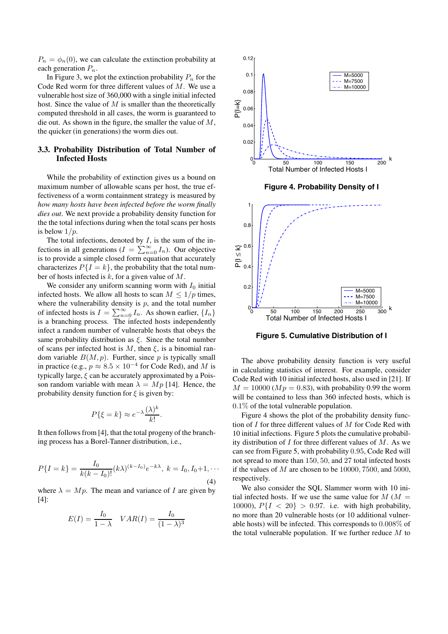$P_n = \phi_n(0)$ , we can calculate the extinction probability at each generation  $P_n$ .

In Figure 3, we plot the extinction probability  $P_n$  for the Code Red worm for three different values of M. We use a vulnerable host size of 360,000 with a single initial infected host. Since the value of  $M$  is smaller than the theoretically computed threshold in all cases, the worm is guaranteed to die out. As shown in the figure, the smaller the value of  $M$ , the quicker (in generations) the worm dies out.

### **3.3. Probability Distribution of Total Number of Infected Hosts**

While the probability of extinction gives us a bound on maximum number of allowable scans per host, the true effectiveness of a worm containment strategy is measured by *how many hosts have been infected before the worm finally dies out*. We next provide a probability density function for the the total infections during when the total scans per hosts is below  $1/p$ .

The total infections, denoted by  $I$ , is the sum of the infections in all generations ( $I = \sum_{n=0}^{\infty} I_n$ ). Our objective is to provide a simple closed form equation that accurately characterizes  $P\{I = k\}$ , the probability that the total number of hosts infected is  $k$ , for a given value of  $M$ .

We consider any uniform scanning worm with  $I_0$  initial infected hosts. We allow all hosts to scan  $M \leq 1/p$  times, where the vulnerability density is  $p$ , and the total number of infected hosts is  $I = \sum_{n=0}^{\infty} I_n$ . As shown earlier,  $\{I_n\}$ is a branching process. The infected hosts independently infect a random number of vulnerable hosts that obeys the same probability distribution as  $\xi$ . Since the total number of scans per infected host is M, then  $\xi$ , is a binomial random variable  $B(M, p)$ . Further, since p is typically small in practice (e.g.,  $p \approx 8.5 \times 10^{-4}$  for Code Red), and M is typically large,  $\xi$  can be accurately approximated by a Poisson random variable with mean  $\lambda = Mp$  [14]. Hence, the probability density function for  $\xi$  is given by:

$$
P\{\xi = k\} \approx e^{-\lambda} \frac{(\lambda)^k}{k!}.
$$

It then follows from [4], that the total progeny of the branching process has a Borel-Tanner distribution, i.e.,

$$
P\{I=k\} = \frac{I_0}{k(k-I_0)!} (k\lambda)^{(k-I_0)} e^{-k\lambda}, \ k = I_0, I_0+1, \cdots
$$
\n(4)

where  $\lambda = Mp$ . The mean and variance of I are given by [4]:

$$
E(I) = \frac{I_0}{1 - \lambda} \quad VAR(I) = \frac{I_0}{(1 - \lambda)^3}
$$



**Figure 5. Cumulative Distribution of I**

The above probability density function is very useful in calculating statistics of interest. For example, consider Code Red with 10 initial infected hosts, also used in [21]. If  $M = 10000 (Mp = 0.83)$ , with probability 0.99 the worm will be contained to less than 360 infected hosts, which is 0.1% of the total vulnerable population.

Figure 4 shows the plot of the probability density function of  $I$  for three different values of  $M$  for Code Red with 10 initial infections. Figure 5 plots the cumulative probability distribution of  $I$  for three different values of  $M$ . As we can see from Figure 5, with probability 0.95, Code Red will not spread to more than 150, 50, and 27 total infected hosts if the values of M are chosen to be 10000, 7500, and 5000, respectively.

We also consider the SQL Slammer worm with 10 initial infected hosts. If we use the same value for  $M(M =$ 10000),  $P\{I < 20\} > 0.97$ . i.e. with high probability, no more than 20 vulnerable hosts (or 10 additional vulnerable hosts) will be infected. This corresponds to 0.008% of the total vulnerable population. If we further reduce  $M$  to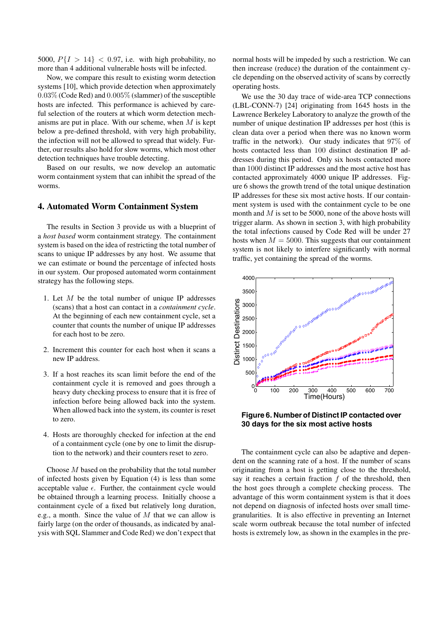5000,  $P\{I > 14\} < 0.97$ , i.e. with high probability, no more than 4 additional vulnerable hosts will be infected.

Now, we compare this result to existing worm detection systems [10], which provide detection when approximately 0.03% (Code Red) and 0.005% (slammer) of the susceptible hosts are infected. This performance is achieved by careful selection of the routers at which worm detection mechanisms are put in place. With our scheme, when  $M$  is kept below a pre-defined threshold, with very high probability, the infection will not be allowed to spread that widely. Further, our results also hold for slow worms, which most other detection techniques have trouble detecting.

Based on our results, we now develop an automatic worm containment system that can inhibit the spread of the worms.

### **4. Automated Worm Containment System**

The results in Section 3 provide us with a blueprint of a *host based* worm containment strategy. The containment system is based on the idea of restricting the total number of scans to unique IP addresses by any host. We assume that we can estimate or bound the percentage of infected hosts in our system. Our proposed automated worm containment strategy has the following steps.

- 1. Let  $M$  be the total number of unique IP addresses (scans) that a host can contact in a *containment cycle*. At the beginning of each new containment cycle, set a counter that counts the number of unique IP addresses for each host to be zero.
- 2. Increment this counter for each host when it scans a new IP address.
- 3. If a host reaches its scan limit before the end of the containment cycle it is removed and goes through a heavy duty checking process to ensure that it is free of infection before being allowed back into the system. When allowed back into the system, its counter is reset to zero.
- 4. Hosts are thoroughly checked for infection at the end of a containment cycle (one by one to limit the disruption to the network) and their counters reset to zero.

Choose M based on the probability that the total number of infected hosts given by Equation (4) is less than some acceptable value  $\epsilon$ . Further, the containment cycle would be obtained through a learning process. Initially choose a containment cycle of a fixed but relatively long duration, e.g., a month. Since the value of  $M$  that we can allow is fairly large (on the order of thousands, as indicated by analysis with SQL Slammer and Code Red) we don't expect that normal hosts will be impeded by such a restriction. We can then increase (reduce) the duration of the containment cycle depending on the observed activity of scans by correctly operating hosts.

We use the 30 day trace of wide-area TCP connections (LBL-CONN-7) [24] originating from 1645 hosts in the Lawrence Berkeley Laboratory to analyze the growth of the number of unique destination IP addresses per host (this is clean data over a period when there was no known worm traffic in the network). Our study indicates that 97% of hosts contacted less than 100 distinct destination IP addresses during this period. Only six hosts contacted more than 1000 distinct IP addresses and the most active host has contacted approximately 4000 unique IP addresses. Figure 6 shows the growth trend of the total unique destination IP addresses for these six most active hosts. If our containment system is used with the containment cycle to be one month and  $M$  is set to be 5000, none of the above hosts will trigger alarm. As shown in section 3, with high probability the total infections caused by Code Red will be under 27 hosts when  $M = 5000$ . This suggests that our containment system is not likely to interfere significantly with normal traffic, yet containing the spread of the worms.



**Figure 6. Number of Distinct IP contacted over 30 days for the six most active hosts**

The containment cycle can also be adaptive and dependent on the scanning rate of a host. If the number of scans originating from a host is getting close to the threshold, say it reaches a certain fraction  $f$  of the threshold, then the host goes through a complete checking process. The advantage of this worm containment system is that it does not depend on diagnosis of infected hosts over small timegranularities. It is also effective in preventing an Internet scale worm outbreak because the total number of infected hosts is extremely low, as shown in the examples in the pre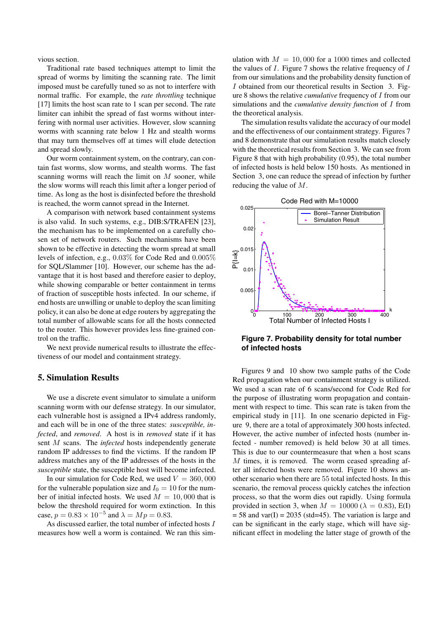vious section.

Traditional rate based techniques attempt to limit the spread of worms by limiting the scanning rate. The limit imposed must be carefully tuned so as not to interfere with normal traffic. For example, the *rate throttling* technique [17] limits the host scan rate to 1 scan per second. The rate limiter can inhibit the spread of fast worms without interfering with normal user activities. However, slow scanning worms with scanning rate below 1 Hz and stealth worms that may turn themselves off at times will elude detection and spread slowly.

Our worm containment system, on the contrary, can contain fast worms, slow worms, and stealth worms. The fast scanning worms will reach the limit on M sooner, while the slow worms will reach this limit after a longer period of time. As long as the host is disinfected before the threshold is reached, the worm cannot spread in the Internet.

A comparison with network based containment systems is also valid. In such systems, e.g., DIB:S/TRAFEN [23], the mechanism has to be implemented on a carefully chosen set of network routers. Such mechanisms have been shown to be effective in detecting the worm spread at small levels of infection, e.g., 0.03% for Code Red and 0.005% for SQL/Slammer [10]. However, our scheme has the advantage that it is host based and therefore easier to deploy, while showing comparable or better containment in terms of fraction of susceptible hosts infected. In our scheme, if end hosts are unwilling or unable to deploy the scan limiting policy, it can also be done at edge routers by aggregating the total number of allowable scans for all the hosts connected to the router. This however provides less fine-grained control on the traffic.

We next provide numerical results to illustrate the effectiveness of our model and containment strategy.

## **5. Simulation Results**

We use a discrete event simulator to simulate a uniform scanning worm with our defense strategy. In our simulator, each vulnerable host is assigned a IPv4 address randomly, and each will be in one of the three states: *susceptible, infected*, and *removed*. A host is in *removed* state if it has sent M scans. The *infected* hosts independently generate random IP addresses to find the victims. If the random IP address matches any of the IP addresses of the hosts in the *susceptible* state, the susceptible host will become infected.

In our simulation for Code Red, we used  $V = 360,000$ for the vulnerable population size and  $I_0 = 10$  for the number of initial infected hosts. We used  $M = 10,000$  that is below the threshold required for worm extinction. In this case,  $p = 0.83 \times 10^{-5}$  and  $\lambda = Mp = 0.83$ .

As discussed earlier, the total number of infected hosts I measures how well a worm is contained. We ran this simulation with  $M = 10,000$  for a 1000 times and collected the values of  $I$ . Figure 7 shows the relative frequency of  $I$ from our simulations and the probability density function of I obtained from our theoretical results in Section 3. Figure 8 shows the relative *cumulative* frequency of I from our simulations and the *cumulative density function* of I from the theoretical analysis.

The simulation results validate the accuracy of our model and the effectiveness of our containment strategy. Figures 7 and 8 demonstrate that our simulation results match closely with the theoretical results from Section 3. We can see from Figure 8 that with high probability (0.95), the total number of infected hosts is held below 150 hosts. As mentioned in Section 3, one can reduce the spread of infection by further reducing the value of M.



**Figure 7. Probability density for total number of infected hosts**

Figures 9 and 10 show two sample paths of the Code Red propagation when our containment strategy is utilized. We used a scan rate of 6 scans/second for Code Red for the purpose of illustrating worm propagation and containment with respect to time. This scan rate is taken from the empirical study in [11]. In one scenario depicted in Figure 9, there are a total of approximately 300 hosts infected. However, the active number of infected hosts (number infected - number removed) is held below 30 at all times. This is due to our countermeasure that when a host scans  $M$  times, it is removed. The worm ceased spreading after all infected hosts were removed. Figure 10 shows another scenario when there are 55 total infected hosts. In this scenario, the removal process quickly catches the infection process, so that the worm dies out rapidly. Using formula provided in section 3, when  $M = 10000$  ( $\lambda = 0.83$ ), E(I)  $= 58$  and var(I)  $= 2035$  (std=45). The variation is large and can be significant in the early stage, which will have significant effect in modeling the latter stage of growth of the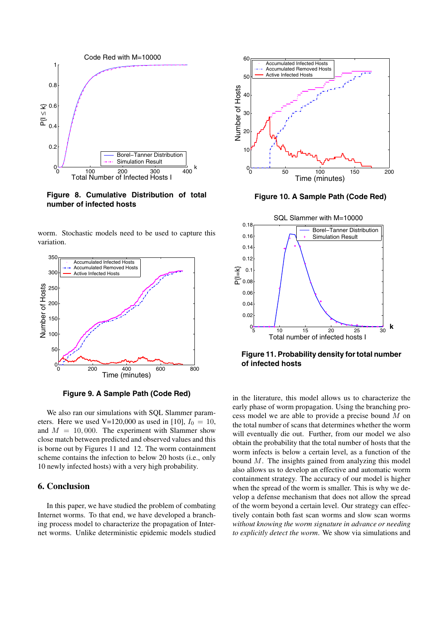

**Figure 8. Cumulative Distribution of total number of infected hosts**

worm. Stochastic models need to be used to capture this variation.



**Figure 9. A Sample Path (Code Red)**

We also ran our simulations with SQL Slammer parameters. Here we used V=120,000 as used in [10],  $I_0 = 10$ , and  $M = 10,000$ . The experiment with Slammer show close match between predicted and observed values and this is borne out by Figures 11 and 12. The worm containment scheme contains the infection to below 20 hosts (i.e., only 10 newly infected hosts) with a very high probability.

## **6. Conclusion**

In this paper, we have studied the problem of combating Internet worms. To that end, we have developed a branching process model to characterize the propagation of Internet worms. Unlike deterministic epidemic models studied



**Figure 10. A Sample Path (Code Red)**



**Figure 11. Probability density for total number of infected hosts**

in the literature, this model allows us to characterize the early phase of worm propagation. Using the branching process model we are able to provide a precise bound M on the total number of scans that determines whether the worm will eventually die out. Further, from our model we also obtain the probability that the total number of hosts that the worm infects is below a certain level, as a function of the bound  $M$ . The insights gained from analyzing this model also allows us to develop an effective and automatic worm containment strategy. The accuracy of our model is higher when the spread of the worm is smaller. This is why we develop a defense mechanism that does not allow the spread of the worm beyond a certain level. Our strategy can effectively contain both fast scan worms and slow scan worms *without knowing the worm signature in advance or needing to explicitly detect the worm*. We show via simulations and